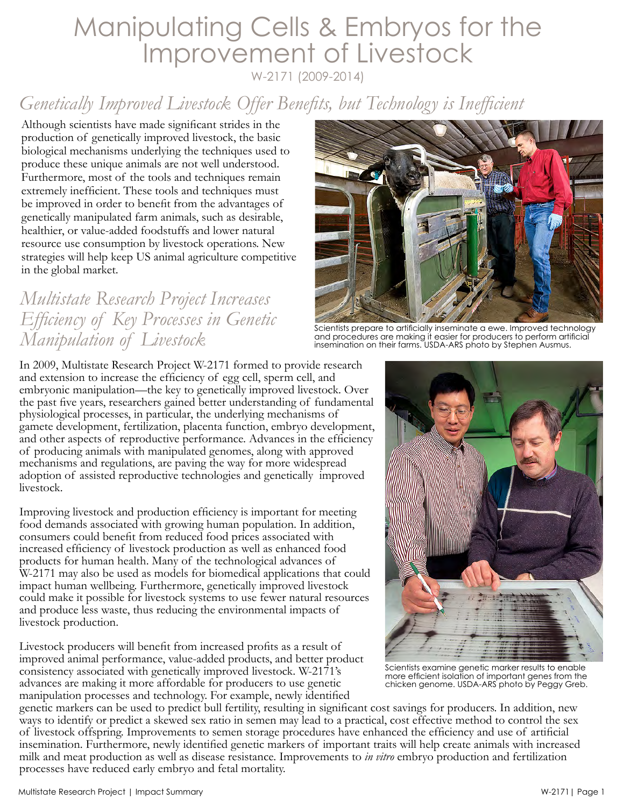# Manipulating Cells & Embryos for the Improvement of Livestock

W-2171 (2009-2014)

## *Genetically Improved Livestock Offer Benefits, but Technology is Inefficient*

Although scientists have made significant strides in the production of genetically improved livestock, the basic biological mechanisms underlying the techniques used to produce these unique animals are not well understood. Furthermore, most of the tools and techniques remain extremely inefficient. These tools and techniques must be improved in order to benefit from the advantages of genetically manipulated farm animals, such as desirable, healthier, or value-added foodstuffs and lower natural resource use consumption by livestock operations. New strategies will help keep US animal agriculture competitive in the global market.

#### *Multistate Research Project Increases Efficiency of Key Processes in Genetic Manipulation of Livestock*



Scientists prepare to artificially inseminate a ewe. Improved technology and procedures are making it easier for producers to perform artificial insemination on their farms. USDA-ARS photo by Stephen Ausmus.

In 2009, Multistate Research Project W-2171 formed to provide research and extension to increase the efficiency of egg cell, sperm cell, and embryonic manipulation—the key to genetically improved livestock. Over the past five years, researchers gained better understanding of fundamental physiological processes, in particular, the underlying mechanisms of gamete development, fertilization, placenta function, embryo development, and other aspects of reproductive performance. Advances in the efficiency of producing animals with manipulated genomes, along with approved mechanisms and regulations, are paving the way for more widespread adoption of assisted reproductive technologies and genetically improved livestock.

Improving livestock and production efficiency is important for meeting food demands associated with growing human population. In addition, consumers could benefit from reduced food prices associated with increased efficiency of livestock production as well as enhanced food products for human health. Many of the technological advances of W-2171 may also be used as models for biomedical applications that could impact human wellbeing. Furthermore, genetically improved livestock could make it possible for livestock systems to use fewer natural resources and produce less waste, thus reducing the environmental impacts of livestock production.

Livestock producers will benefit from increased profits as a result of improved animal performance, value-added products, and better product consistency associated with genetically improved livestock. W-2171's advances are making it more affordable for producers to use genetic manipulation processes and technology. For example, newly identified



Scientists examine genetic marker results to enable more efficient isolation of important genes from the chicken genome. USDA-ARS photo by Peggy Greb.

genetic markers can be used to predict bull fertility, resulting in significant cost savings for producers. In addition, new ways to identify or predict a skewed sex ratio in semen may lead to a practical, cost effective method to control the sex of livestock offspring. Improvements to semen storage procedures have enhanced the efficiency and use of artificial insemination. Furthermore, newly identified genetic markers of important traits will help create animals with increased milk and meat production as well as disease resistance. Improvements to *in vitro* embryo production and fertilization processes have reduced early embryo and fetal mortality.